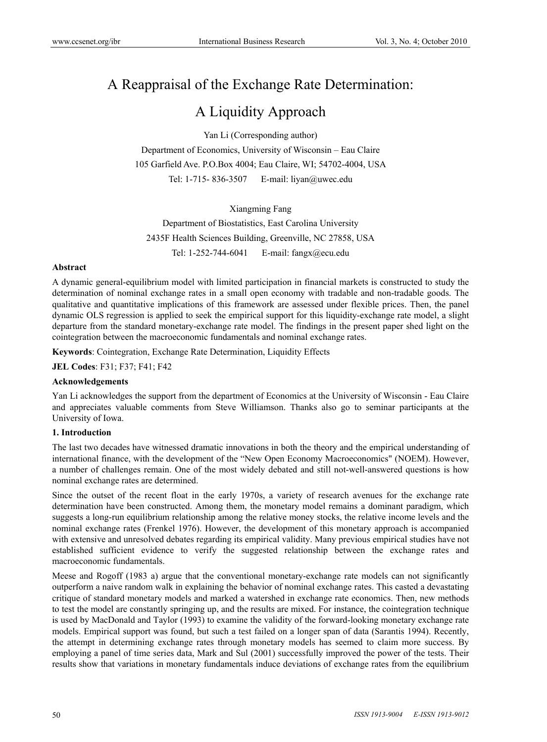# A Reappraisal of the Exchange Rate Determination:

# A Liquidity Approach

Yan Li (Corresponding author)

Department of Economics, University of Wisconsin – Eau Claire 105 Garfield Ave. P.O.Box 4004; Eau Claire, WI; 54702-4004, USA Tel: 1-715- 836-3507 E-mail: liyan@uwec.edu

Xiangming Fang Department of Biostatistics, East Carolina University 2435F Health Sciences Building, Greenville, NC 27858, USA Tel: 1-252-744-6041 E-mail: fangx@ecu.edu

## **Abstract**

A dynamic general-equilibrium model with limited participation in financial markets is constructed to study the determination of nominal exchange rates in a small open economy with tradable and non-tradable goods. The qualitative and quantitative implications of this framework are assessed under flexible prices. Then, the panel dynamic OLS regression is applied to seek the empirical support for this liquidity-exchange rate model, a slight departure from the standard monetary-exchange rate model. The findings in the present paper shed light on the cointegration between the macroeconomic fundamentals and nominal exchange rates.

**Keywords**: Cointegration, Exchange Rate Determination, Liquidity Effects

**JEL Codes**: F31; F37; F41; F42

# **Acknowledgements**

Yan Li acknowledges the support from the department of Economics at the University of Wisconsin - Eau Claire and appreciates valuable comments from Steve Williamson. Thanks also go to seminar participants at the University of Iowa.

#### **1. Introduction**

The last two decades have witnessed dramatic innovations in both the theory and the empirical understanding of international finance, with the development of the "New Open Economy Macroeconomics" (NOEM). However, a number of challenges remain. One of the most widely debated and still not-well-answered questions is how nominal exchange rates are determined.

Since the outset of the recent float in the early 1970s, a variety of research avenues for the exchange rate determination have been constructed. Among them, the monetary model remains a dominant paradigm, which suggests a long-run equilibrium relationship among the relative money stocks, the relative income levels and the nominal exchange rates (Frenkel 1976). However, the development of this monetary approach is accompanied with extensive and unresolved debates regarding its empirical validity. Many previous empirical studies have not established sufficient evidence to verify the suggested relationship between the exchange rates and macroeconomic fundamentals.

Meese and Rogoff (1983 a) argue that the conventional monetary-exchange rate models can not significantly outperform a naive random walk in explaining the behavior of nominal exchange rates. This casted a devastating critique of standard monetary models and marked a watershed in exchange rate economics. Then, new methods to test the model are constantly springing up, and the results are mixed. For instance, the cointegration technique is used by MacDonald and Taylor (1993) to examine the validity of the forward-looking monetary exchange rate models. Empirical support was found, but such a test failed on a longer span of data (Sarantis 1994). Recently, the attempt in determining exchange rates through monetary models has seemed to claim more success. By employing a panel of time series data, Mark and Sul (2001) successfully improved the power of the tests. Their results show that variations in monetary fundamentals induce deviations of exchange rates from the equilibrium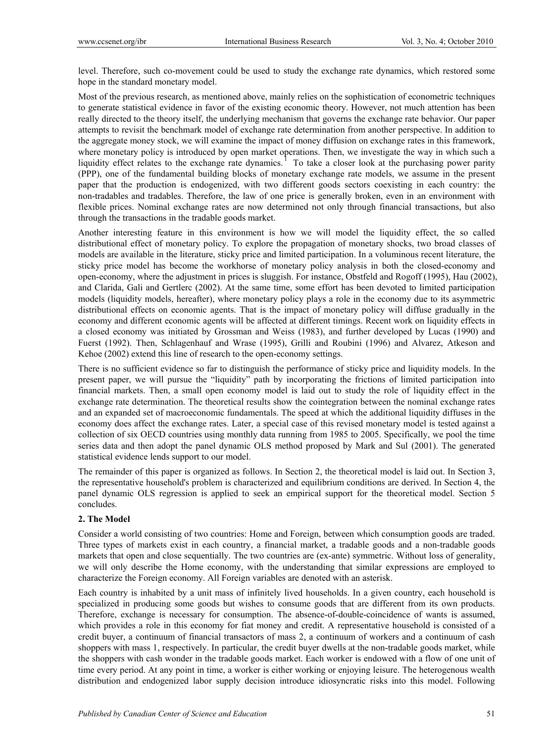level. Therefore, such co-movement could be used to study the exchange rate dynamics, which restored some hope in the standard monetary model.

Most of the previous research, as mentioned above, mainly relies on the sophistication of econometric techniques to generate statistical evidence in favor of the existing economic theory. However, not much attention has been really directed to the theory itself, the underlying mechanism that governs the exchange rate behavior. Our paper attempts to revisit the benchmark model of exchange rate determination from another perspective. In addition to the aggregate money stock, we will examine the impact of money diffusion on exchange rates in this framework, where monetary policy is introduced by open market operations. Then, we investigate the way in which such a liquidity effect relates to the exchange rate dynamics.<sup>1</sup> To take a closer look at the purchasing power parity (PPP), one of the fundamental building blocks of monetary exchange rate models, we assume in the present paper that the production is endogenized, with two different goods sectors coexisting in each country: the non-tradables and tradables. Therefore, the law of one price is generally broken, even in an environment with flexible prices. Nominal exchange rates are now determined not only through financial transactions, but also through the transactions in the tradable goods market.

Another interesting feature in this environment is how we will model the liquidity effect, the so called distributional effect of monetary policy. To explore the propagation of monetary shocks, two broad classes of models are available in the literature, sticky price and limited participation. In a voluminous recent literature, the sticky price model has become the workhorse of monetary policy analysis in both the closed-economy and open-economy, where the adjustment in prices is sluggish. For instance, Obstfeld and Rogoff (1995), Hau (2002), and Clarida, Gali and Gertlerc (2002). At the same time, some effort has been devoted to limited participation models (liquidity models, hereafter), where monetary policy plays a role in the economy due to its asymmetric distributional effects on economic agents. That is the impact of monetary policy will diffuse gradually in the economy and different economic agents will be affected at different timings. Recent work on liquidity effects in a closed economy was initiated by Grossman and Weiss (1983), and further developed by Lucas (1990) and Fuerst (1992). Then, Schlagenhauf and Wrase (1995), Grilli and Roubini (1996) and Alvarez, Atkeson and Kehoe (2002) extend this line of research to the open-economy settings.

There is no sufficient evidence so far to distinguish the performance of sticky price and liquidity models. In the present paper, we will pursue the "liquidity" path by incorporating the frictions of limited participation into financial markets. Then, a small open economy model is laid out to study the role of liquidity effect in the exchange rate determination. The theoretical results show the cointegration between the nominal exchange rates and an expanded set of macroeconomic fundamentals. The speed at which the additional liquidity diffuses in the economy does affect the exchange rates. Later, a special case of this revised monetary model is tested against a collection of six OECD countries using monthly data running from 1985 to 2005. Specifically, we pool the time series data and then adopt the panel dynamic OLS method proposed by Mark and Sul (2001). The generated statistical evidence lends support to our model.

The remainder of this paper is organized as follows. In Section 2, the theoretical model is laid out. In Section 3, the representative household's problem is characterized and equilibrium conditions are derived. In Section 4, the panel dynamic OLS regression is applied to seek an empirical support for the theoretical model. Section 5 concludes.

## **2. The Model**

Consider a world consisting of two countries: Home and Foreign, between which consumption goods are traded. Three types of markets exist in each country, a financial market, a tradable goods and a non-tradable goods markets that open and close sequentially. The two countries are (ex-ante) symmetric. Without loss of generality, we will only describe the Home economy, with the understanding that similar expressions are employed to characterize the Foreign economy. All Foreign variables are denoted with an asterisk.

Each country is inhabited by a unit mass of infinitely lived households. In a given country, each household is specialized in producing some goods but wishes to consume goods that are different from its own products. Therefore, exchange is necessary for consumption. The absence-of-double-coincidence of wants is assumed, which provides a role in this economy for fiat money and credit. A representative household is consisted of a credit buyer, a continuum of financial transactors of mass 2, a continuum of workers and a continuum of cash shoppers with mass 1, respectively. In particular, the credit buyer dwells at the non-tradable goods market, while the shoppers with cash wonder in the tradable goods market. Each worker is endowed with a flow of one unit of time every period. At any point in time, a worker is either working or enjoying leisure. The heterogenous wealth distribution and endogenized labor supply decision introduce idiosyncratic risks into this model. Following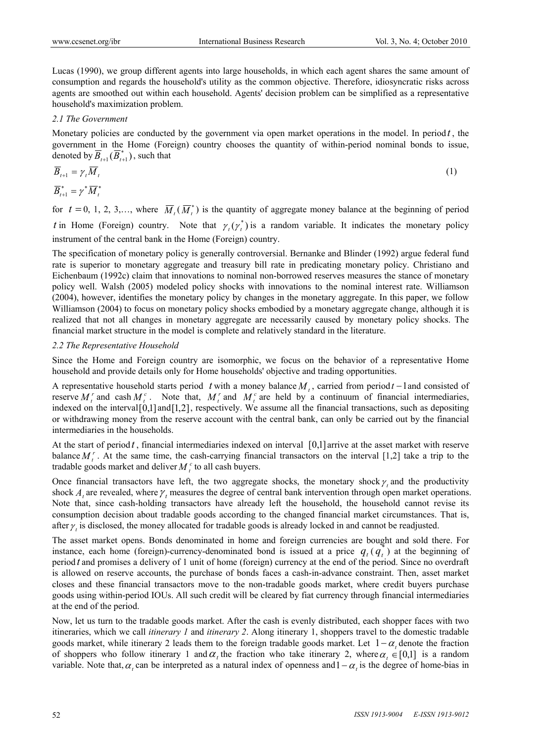Lucas (1990), we group different agents into large households, in which each agent shares the same amount of consumption and regards the household's utility as the common objective. Therefore, idiosyncratic risks across agents are smoothed out within each household. Agents' decision problem can be simplified as a representative household's maximization problem.

## *2.1 The Government*

Monetary policies are conducted by the government via open market operations in the model. In period  $t$ , the government in the Home (Foreign) country chooses the quantity of within-period nominal bonds to issue, denoted by  $\overline{B}_{t+1}(\overline{B}_{t+1}^*)$ , such that

$$
\overline{B}_{t+1} = \gamma_t \overline{M}_t
$$
  
\n
$$
\overline{B}_{t+1}^* = \gamma^* \overline{M}_t^*
$$
\n(1)

for  $t = 0, 1, 2, 3,...$ , where  $\overline{M}_{t}(\overline{M}_{t}^{*})$  is the quantity of aggregate money balance at the beginning of period *t* in Home (Foreign) country. Note that  $\gamma_t(\gamma_t^*)$  is a random variable. It indicates the monetary policy instrument of the central bank in the Home (Foreign) country.

The specification of monetary policy is generally controversial. Bernanke and Blinder (1992) argue federal fund rate is superior to monetary aggregate and treasury bill rate in predicating monetary policy. Christiano and Eichenbaum (1992c) claim that innovations to nominal non-borrowed reserves measures the stance of monetary policy well. Walsh (2005) modeled policy shocks with innovations to the nominal interest rate. Williamson (2004), however, identifies the monetary policy by changes in the monetary aggregate. In this paper, we follow Williamson (2004) to focus on monetary policy shocks embodied by a monetary aggregate change, although it is realized that not all changes in monetary aggregate are necessarily caused by monetary policy shocks. The financial market structure in the model is complete and relatively standard in the literature.

## *2.2 The Representative Household*

Since the Home and Foreign country are isomorphic, we focus on the behavior of a representative Home household and provide details only for Home households' objective and trading opportunities.

A representative household starts period t with a money balance  $M_t$ , carried from periodt-1 and consisted of reserve  $M_i^r$  and cash  $M_i^c$ . Note that,  $M_i^r$  and  $M_i^c$  are held by a continuum of financial intermediaries, indexed on the interval $[0,1]$  and  $[1,2]$ , respectively. We assume all the financial transactions, such as depositing or withdrawing money from the reserve account with the central bank, can only be carried out by the financial intermediaries in the households.

At the start of period *t* , financial intermediaries indexed on interval [0,1] arrive at the asset market with reserve balance  $M_t^r$ . At the same time, the cash-carrying financial transactors on the interval [1,2] take a trip to the tradable goods market and deliver  $M_t^c$  to all cash buyers.

Once financial transactors have left, the two aggregate shocks, the monetary shock  $\gamma$  and the productivity shock  $A$ , are revealed, where  $\gamma$ , measures the degree of central bank intervention through open market operations. Note that, since cash-holding transactors have already left the household, the household cannot revise its consumption decision about tradable goods according to the changed financial market circumstances. That is, after  $\gamma$  is disclosed, the money allocated for tradable goods is already locked in and cannot be readjusted.

The asset market opens. Bonds denominated in home and foreign currencies are bought and sold there. For instance, each home (foreign)-currency-denominated bond is issued at a price  $q_t(q_t)$  at the beginning of period *t* and promises a delivery of 1 unit of home (foreign) currency at the end of the period. Since no overdraft is allowed on reserve accounts, the purchase of bonds faces a cash-in-advance constraint. Then, asset market closes and these financial transactors move to the non-tradable goods market, where credit buyers purchase goods using within-period IOUs. All such credit will be cleared by fiat currency through financial intermediaries at the end of the period.

Now, let us turn to the tradable goods market. After the cash is evenly distributed, each shopper faces with two itineraries, which we call *itinerary 1* and *itinerary 2*. Along itinerary 1, shoppers travel to the domestic tradable goods market, while itinerary 2 leads them to the foreign tradable goods market. Let  $1 - \alpha$ , denote the fraction of shoppers who follow itinerary 1 and  $\alpha$ , the fraction who take itinerary 2, where  $\alpha$ ,  $\in [0,1]$  is a random variable. Note that,  $\alpha$ , can be interpreted as a natural index of openness and  $1 - \alpha$ , is the degree of home-bias in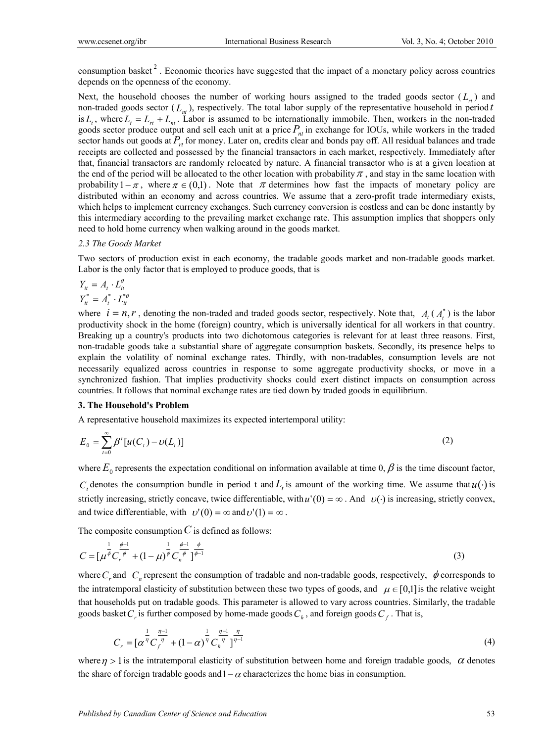consumption basket<sup>2</sup>. Economic theories have suggested that the impact of a monetary policy across countries depends on the openness of the economy.

Next, the household chooses the number of working hours assigned to the traded goods sector  $(L_r)$  and non-traded goods sector  $(L_{nt})$ , respectively. The total labor supply of the representative household in period *t* is  $L_t$ , where  $L_t = L_{tt} + L_{tt}$ . Labor is assumed to be internationally immobile. Then, workers in the non-traded goods sector produce output and sell each unit at a price  $P_{nt}$  in exchange for IOUs, while workers in the traded sector hands out goods at  $P_{rt}$  for money. Later on, credits clear and bonds pay off. All residual balances and trade receipts are collected and possessed by the financial transactors in each market, respectively. Immediately after that, financial transactors are randomly relocated by nature. A financial transactor who is at a given location at the end of the period will be allocated to the other location with probability  $\pi$ , and stay in the same location with probability  $1 - \pi$ , where  $\pi \in (0,1)$ . Note that  $\pi$  determines how fast the impacts of monetary policy are distributed within an economy and across countries. We assume that a zero-profit trade intermediary exists, which helps to implement currency exchanges. Such currency conversion is costless and can be done instantly by this intermediary according to the prevailing market exchange rate. This assumption implies that shoppers only need to hold home currency when walking around in the goods market.

#### *2.3 The Goods Market*

Two sectors of production exist in each economy, the tradable goods market and non-tradable goods market. Labor is the only factor that is employed to produce goods, that is

$$
Y_{it} = A_t \cdot L_{it}^{\theta}
$$
  

$$
Y_{it}^* = A_t^* \cdot L_{it}^{*}
$$

where  $i = n, r$ , denoting the non-traded and traded goods sector, respectively. Note that,  $A_i(A_i^*)$  is the labor productivity shock in the home (foreign) country, which is universally identical for all workers in that country. Breaking up a country's products into two dichotomous categories is relevant for at least three reasons. First, non-tradable goods take a substantial share of aggregate consumption baskets. Secondly, its presence helps to explain the volatility of nominal exchange rates. Thirdly, with non-tradables, consumption levels are not necessarily equalized across countries in response to some aggregate productivity shocks, or move in a synchronized fashion. That implies productivity shocks could exert distinct impacts on consumption across countries. It follows that nominal exchange rates are tied down by traded goods in equilibrium.

#### **3. The Household's Problem**

A representative household maximizes its expected intertemporal utility:

$$
E_0 = \sum_{t=0}^{\infty} \beta^t [u(C_t) - v(L_t)] \tag{2}
$$

where  $E_0$  represents the expectation conditional on information available at time 0,  $\beta$  is the time discount factor,

*C<sub>t</sub>* denotes the consumption bundle in period t and  $L_t$  is amount of the working time. We assume that  $u(\cdot)$  is strictly increasing, strictly concave, twice differentiable, with  $u'(0) = \infty$ . And  $v(\cdot)$  is increasing, strictly convex, and twice differentiable, with  $v'(0) = \infty$  and  $v'(1) = \infty$ .

The composite consumption  $C$  is defined as follows:

$$
C = \left[\mu^{\frac{1}{\phi}} C_r^{\frac{\phi-1}{\phi}} + (1 - \mu)^{\frac{1}{\phi}} C_n^{\frac{\phi-1}{\phi}} \right]^{\frac{\phi}{\phi-1}}
$$
(3)

where  $C_r$  and  $C_n$  represent the consumption of tradable and non-tradable goods, respectively,  $\phi$  corresponds to the intratemporal elasticity of substitution between these two types of goods, and  $\mu \in [0,1]$  is the relative weight that households put on tradable goods. This parameter is allowed to vary across countries. Similarly, the tradable goods basket  $C_r$  is further composed by home-made goods  $C_h$ , and foreign goods  $C_f$ . That is,

$$
C_r = \left[\alpha^{\frac{1}{\eta}} C_f^{\frac{\eta-1}{\eta}} + (1-\alpha)^{\frac{1}{\eta}} C_h^{\frac{\eta-1}{\eta}}\right]^{\frac{\eta}{\eta-1}}
$$
\n(4)

where  $\eta > 1$  is the intratemporal elasticity of substitution between home and foreign tradable goods,  $\alpha$  denotes the share of foreign tradable goods and  $1 - \alpha$  characterizes the home bias in consumption.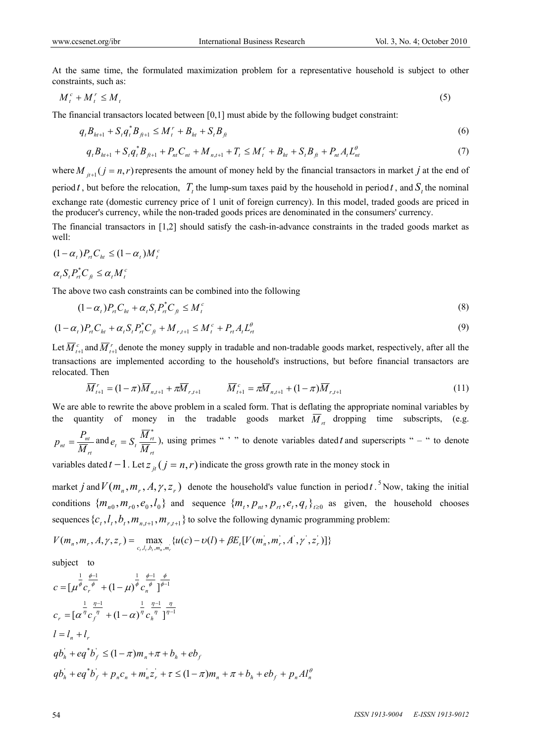At the same time, the formulated maximization problem for a representative household is subject to other constraints, such as:

$$
M_t^c + M_t^r \le M_t \tag{5}
$$

The financial transactors located between  $[0,1]$  must abide by the following budget constraint:

$$
q_{t}B_{h^{t+1}} + S_{t}q_{t}^{*}B_{f^{t+1}} \leq M_{t}^{r} + B_{h^{t}} + S_{t}B_{f^{t}}
$$
\n
$$
(6)
$$

$$
q_{t}B_{h t+1} + S_{t}q_{t}^{*}B_{h t+1} + P_{nt}C_{nt} + M_{n, t+1} + T_{t} \leq M_{t}^{r} + B_{ht} + S_{t}B_{ft} + P_{nt}A_{t}L_{nt}^{\theta}
$$
\n
$$
\tag{7}
$$

where  $M_{i+1}$   $(j = n, r)$  represents the amount of money held by the financial transactors in market *j* at the end of period *t*, but before the relocation,  $T<sub>t</sub>$  the lump-sum taxes paid by the household in period *t*, and  $S<sub>t</sub>$  the nominal exchange rate (domestic currency price of 1 unit of foreign currency). In this model, traded goods are priced in the producer's currency, while the non-traded goods prices are denominated in the consumers' currency.

The financial transactors in [1,2] should satisfy the cash-in-advance constraints in the traded goods market as well:

$$
(1 - \alpha_t) P_{rt} C_{ht} \le (1 - \alpha_t) M_t^c
$$

$$
\alpha_t S_t P_{rt}^* C_{ft} \leq \alpha_t M_t^c
$$

The above two cash constraints can be combined into the following

*c*

$$
(1 - \alpha_t)P_{rt}C_{ht} + \alpha_t S_t P_{rt}^* C_{\hat{\mu}} \le M_t^c
$$
\n
$$
(8)
$$

$$
(1 - \alpha_t)P_{rt}C_{ht} + \alpha_t S_t P_{rt}^* C_{ft} + M_{r, t+1} \le M_t^c + P_{rt} A_t L_{rt}^{\theta}
$$
\n(9)

Let  $\overline{M}_{t+1}^c$  and  $\overline{M}_{t+1}^r$  denote the money supply in tradable and non-tradable goods market, respectively, after all the transactions are implemented according to the household's instructions, but before financial transactors are relocated. Then

$$
\overline{M}_{t+1}^r = (1 - \pi) \overline{M}_{n,t+1} + \pi \overline{M}_{r,t+1} \qquad \overline{M}_{t+1}^c = \pi \overline{M}_{n,t+1} + (1 - \pi) \overline{M}_{r,t+1} \tag{11}
$$

We are able to rewrite the above problem in a scaled form. That is deflating the appropriate nominal variables by the quantity of money in the tradable goods market  $\overline{M}_{rt}$  dropping time subscripts, (e.g.

$$
p_{nt} = \frac{P_{nt}}{\overline{M}_{rt}} \text{ and } e_t = S_t \frac{\overline{M}_{rt}^*}{\overline{M}_{rt}},
$$
 using primes "" to denote variables dated *t* and superscripts " – " to denote

variables dated  $t-1$ . Let  $z_{it}$   $(j = n, r)$  indicate the gross growth rate in the money stock in

market *j* and  $V(m_n, m_r, A, \gamma, z_r)$  denote the household's value function in period *t*.<sup>5</sup> Now, taking the initial conditions  $\{m_{n0}, m_{r0}, e_0, l_0\}$  and sequence  $\{m_t, p_{nt}, p_{rt}, e_t, q_t\}_{t>0}$  as given, the household chooses sequences  ${c_t, l_t, b_t, m_{n_t+1}, m_{r_t+1}}$  to solve the following dynamic programming problem:

$$
V(m_n, m_r, A, \gamma, z_r) = \max_{c_i, l_i, b_i, m_n, m_r} \{u(c) - v(l) + \beta E_t[V(m_n, m_r, A', \gamma', z_r')] \}
$$

subject to

$$
c = \left[\mu^{\frac{1}{\phi}} c_r^{\frac{\phi-1}{\phi}} + (1 - \mu)^{\frac{1}{\phi}} c_n^{\frac{\phi-1}{\phi}}\right]^{\frac{\phi}{\phi-1}}
$$
  
\n
$$
c_r = \left[\alpha^{\frac{1}{\eta}} c_r^{\frac{\eta-1}{\eta}} + (1 - \alpha)^{\frac{1}{\eta}} c_n^{\frac{\eta-1}{\eta}}\right]^{\frac{\eta}{\eta-1}}
$$
  
\n
$$
l = l_n + l_r
$$
  
\n
$$
q b_h + e q^* b_f \leq (1 - \pi) m_n + \pi + b_h + e b_f
$$
  
\n
$$
q b_h + e q^* b_f + p_n c_n + m_n z_r + \tau \leq (1 - \pi) m_n + \pi + b_h + e b_f + p_n A l_n^{\theta}
$$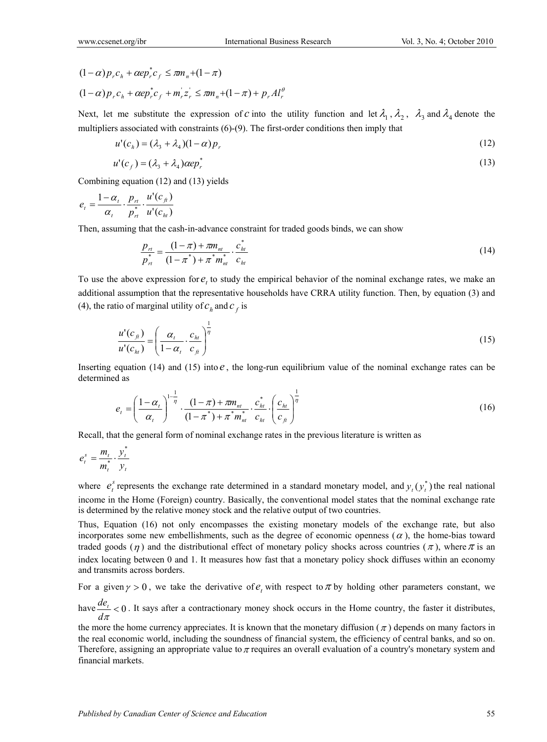$$
(1 - \alpha)p_r c_h + \alpha e p_r^* c_f \le \pi m_n + (1 - \pi)
$$
  

$$
(1 - \alpha)p_r c_h + \alpha e p_r^* c_f + m_r^{\dagger} z_r^{\dagger} \le \pi m_n + (1 - \pi) + p_r A l_r^{\theta}
$$

Next, let me substitute the expression of *c* into the utility function and let  $\lambda_1$ ,  $\lambda_2$ ,  $\lambda_3$  and  $\lambda_4$  denote the multipliers associated with constraints (6)-(9). The first-order conditions then imply that

$$
u'(c_h) = (\lambda_3 + \lambda_4)(1 - \alpha)p_r \tag{12}
$$

$$
u'(c_f) = (\lambda_3 + \lambda_4) \alpha e p_r^* \tag{13}
$$

Combining equation (12) and (13) yields

$$
e_t = \frac{1 - \alpha_t}{\alpha_t} \cdot \frac{p_{rt}}{p_{rt}^*} \cdot \frac{u'(c_{ft})}{u'(c_{ht})}
$$

Then, assuming that the cash-in-advance constraint for traded goods binds, we can show

$$
\frac{p_{rt}}{p_{rt}^*} = \frac{(1-\pi) + \pi m_{nt}}{(1-\pi^*) + \pi^* m_{nt}^*} \cdot \frac{c_{ht}^*}{c_{ht}}
$$
\n(14)

To use the above expression for  $e$ , to study the empirical behavior of the nominal exchange rates, we make an additional assumption that the representative households have CRRA utility function. Then, by equation (3) and (4), the ratio of marginal utility of  $c_h$  and  $c_f$  is

$$
\frac{u'(c_{\hat{H}})}{u'(c_{ht})} = \left(\frac{\alpha_t}{1-\alpha_t} \cdot \frac{c_{ht}}{c_{\hat{H}}}\right)^{\frac{1}{\eta}}
$$
(15)

Inserting equation (14) and (15) into  $e$ , the long-run equilibrium value of the nominal exchange rates can be determined as

$$
e_{t} = \left(\frac{1-\alpha_{t}}{\alpha_{t}}\right)^{1-\frac{1}{\eta}} \cdot \frac{(1-\pi)+\pi m_{nt}}{(1-\pi^{*})+\pi^{*} m_{nt}^{*}} \cdot \frac{c_{ht}^{*}}{c_{ht}} \cdot \left(\frac{c_{ht}}{c_{ft}}\right)^{\frac{1}{\eta}}
$$
(16)

Recall, that the general form of nominal exchange rates in the previous literature is written as

$$
e_t^s = \frac{m_t}{m_t^*} \cdot \frac{y_t^*}{y_t}
$$

where  $e_i^s$  represents the exchange rate determined in a standard monetary model, and  $y_i(y_i^*)$  the real national income in the Home (Foreign) country. Basically, the conventional model states that the nominal exchange rate is determined by the relative money stock and the relative output of two countries.

Thus, Equation (16) not only encompasses the existing monetary models of the exchange rate, but also incorporates some new embellishments, such as the degree of economic openness ( $\alpha$ ), the home-bias toward traded goods  $(\eta)$  and the distributional effect of monetary policy shocks across countries  $(\pi)$ , where  $\pi$  is an index locating between 0 and 1. It measures how fast that a monetary policy shock diffuses within an economy and transmits across borders.

For a given  $\gamma > 0$ , we take the derivative of  $e_t$ , with respect to  $\pi$  by holding other parameters constant, we

have  $\frac{ac_t}{1} < 0$  $d\pi$  $\frac{de_t}{dt}$  < 0. It says after a contractionary money shock occurs in the Home country, the faster it distributes,

the more the home currency appreciates. It is known that the monetary diffusion ( $\pi$ ) depends on many factors in the real economic world, including the soundness of financial system, the efficiency of central banks, and so on. Therefore, assigning an appropriate value to  $\pi$  requires an overall evaluation of a country's monetary system and financial markets.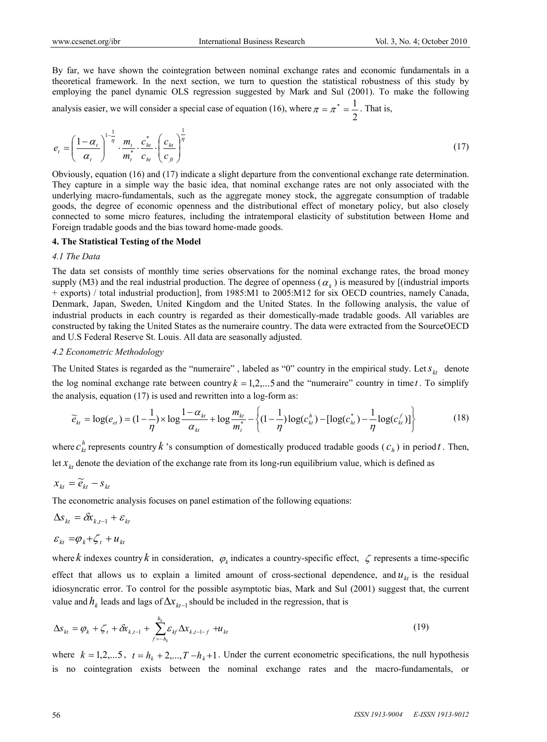By far, we have shown the cointegration between nominal exchange rates and economic fundamentals in a theoretical framework. In the next section, we turn to question the statistical robustness of this study by employing the panel dynamic OLS regression suggested by Mark and Sul (2001). To make the following

analysis easier, we will consider a special case of equation (16), where 2  $\pi = \pi^* = \frac{1}{\pi}$ . That is,

$$
e_t = \left(\frac{1-\alpha_t}{\alpha_t}\right)^{1-\frac{1}{\eta}} \cdot \frac{m_t}{m_t^*} \cdot \frac{c_{ht}^*}{c_{ht}} \cdot \left(\frac{c_{ht}}{c_{ft}}\right)^{\frac{1}{\eta}}
$$
(17)

Obviously, equation (16) and (17) indicate a slight departure from the conventional exchange rate determination. They capture in a simple way the basic idea, that nominal exchange rates are not only associated with the underlying macro-fundamentals, such as the aggregate money stock, the aggregate consumption of tradable goods, the degree of economic openness and the distributional effect of monetary policy, but also closely connected to some micro features, including the intratemporal elasticity of substitution between Home and Foreign tradable goods and the bias toward home-made goods.

#### **4. The Statistical Testing of the Model**

#### *4.1 The Data*

The data set consists of monthly time series observations for the nominal exchange rates, the broad money supply (M3) and the real industrial production. The degree of openness ( $\alpha_k$ ) is measured by [(industrial imports + exports) / total industrial production], from 1985:M1 to 2005:M12 for six OECD countries, namely Canada, Denmark, Japan, Sweden, United Kingdom and the United States. In the following analysis, the value of industrial products in each country is regarded as their domestically-made tradable goods. All variables are constructed by taking the United States as the numeraire country. The data were extracted from the SourceOECD and U.S Federal Reserve St. Louis. All data are seasonally adjusted.

#### *4.2 Econometric Methodology*

The United States is regarded as the "numeraire", labeled as "0" country in the empirical study. Let  $s_{kt}$  denote the log nominal exchange rate between country  $k = 1, 2, \ldots, 5$  and the "numeraire" country in time *t*. To simplify the analysis, equation (17) is used and rewritten into a log-form as:

$$
\widetilde{e}_{kt} = \log(e_{et}) = (1 - \frac{1}{\eta}) \times \log \frac{1 - \alpha_{kt}}{\alpha_{kt}} + \log \frac{m_{kt}}{m_t^*} - \left\{ (1 - \frac{1}{\eta}) \log(c_{kt}^*) - [\log(c_{kt}^*) - \frac{1}{\eta} \log(c_{kt}^f)] \right\}
$$
(18)

where  $c_{kt}^{h}$  represents country  $k$  's consumption of domestically produced tradable goods ( $c_h$ ) in period  $t$ . Then, let  $x_k$  denote the deviation of the exchange rate from its long-run equilibrium value, which is defined as

$$
x_{kt} = \widetilde{e}_{kt} - s_{kt}
$$

The econometric analysis focuses on panel estimation of the following equations:

$$
\Delta s_{kt} = \delta x_{k,t-1} + \varepsilon_{kt}
$$

$$
\varepsilon_{kt} = \varphi_k + \zeta_t + u_{kt}
$$

where *k* indexes country *k* in consideration,  $\varphi_k$  indicates a country-specific effect,  $\zeta$  represents a time-specific effect that allows us to explain a limited amount of cross-sectional dependence, and  $u_k$  is the residual idiosyncratic error. To control for the possible asymptotic bias, Mark and Sul (2001) suggest that, the current value and  $h_k$  leads and lags of  $\Delta x_{kt-1}$  should be included in the regression, that is

$$
\Delta s_{kt} = \varphi_k + \zeta_t + \delta x_{k,t-1} + \sum_{f=-h_k}^{h_k} \varepsilon_{kf} \Delta x_{k,t-1-f} + u_{kt}
$$
\n(19)

where  $k = 1, 2, \ldots, 5$ ,  $t = h_k + 2, \ldots, T - h_k + 1$ . Under the current econometric specifications, the null hypothesis is no cointegration exists between the nominal exchange rates and the macro-fundamentals, or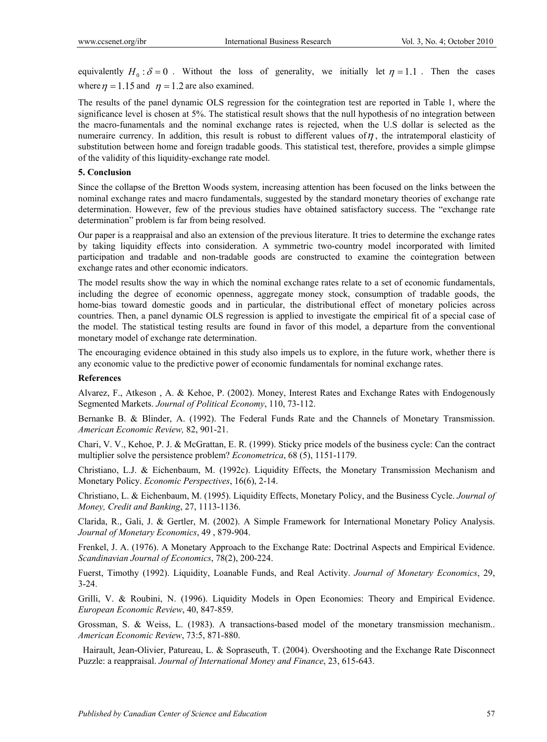equivalently  $H_0: \delta = 0$ . Without the loss of generality, we initially let  $\eta = 1.1$ . Then the cases where  $\eta = 1.15$  and  $\eta = 1.2$  are also examined.

The results of the panel dynamic OLS regression for the cointegration test are reported in Table 1, where the significance level is chosen at 5%. The statistical result shows that the null hypothesis of no integration between the macro-funamentals and the nominal exchange rates is rejected, when the U.S dollar is selected as the numeraire currency. In addition, this result is robust to different values of  $\eta$ , the intratemporal elasticity of substitution between home and foreign tradable goods. This statistical test, therefore, provides a simple glimpse of the validity of this liquidity-exchange rate model.

# **5. Conclusion**

Since the collapse of the Bretton Woods system, increasing attention has been focused on the links between the nominal exchange rates and macro fundamentals, suggested by the standard monetary theories of exchange rate determination. However, few of the previous studies have obtained satisfactory success. The "exchange rate determination" problem is far from being resolved.

Our paper is a reappraisal and also an extension of the previous literature. It tries to determine the exchange rates by taking liquidity effects into consideration. A symmetric two-country model incorporated with limited participation and tradable and non-tradable goods are constructed to examine the cointegration between exchange rates and other economic indicators.

The model results show the way in which the nominal exchange rates relate to a set of economic fundamentals, including the degree of economic openness, aggregate money stock, consumption of tradable goods, the home-bias toward domestic goods and in particular, the distributional effect of monetary policies across countries. Then, a panel dynamic OLS regression is applied to investigate the empirical fit of a special case of the model. The statistical testing results are found in favor of this model, a departure from the conventional monetary model of exchange rate determination.

The encouraging evidence obtained in this study also impels us to explore, in the future work, whether there is any economic value to the predictive power of economic fundamentals for nominal exchange rates.

## **References**

Alvarez, F., Atkeson , A. & Kehoe, P. (2002). Money, Interest Rates and Exchange Rates with Endogenously Segmented Markets. *Journal of Political Economy*, 110, 73-112.

Bernanke B. & Blinder, A. (1992). The Federal Funds Rate and the Channels of Monetary Transmission. *American Economic Review,* 82, 901-21.

Chari, V. V., Kehoe, P. J. & McGrattan, E. R. (1999). Sticky price models of the business cycle: Can the contract multiplier solve the persistence problem? *Econometrica*, 68 (5), 1151-1179.

Christiano, L.J. & Eichenbaum, M. (1992c). Liquidity Effects, the Monetary Transmission Mechanism and Monetary Policy. *Economic Perspectives*, 16(6), 2-14.

Christiano, L. & Eichenbaum, M. (1995). Liquidity Effects, Monetary Policy, and the Business Cycle. *Journal of Money, Credit and Banking*, 27, 1113-1136.

Clarida, R., Gali, J. & Gertler, M. (2002). A Simple Framework for International Monetary Policy Analysis. *Journal of Monetary Economics*, 49 , 879-904.

Frenkel, J. A. (1976). A Monetary Approach to the Exchange Rate: Doctrinal Aspects and Empirical Evidence. *Scandinavian Journal of Economics*, 78(2), 200-224.

Fuerst, Timothy (1992). Liquidity, Loanable Funds, and Real Activity. *Journal of Monetary Economics*, 29, 3-24.

Grilli, V. & Roubini, N. (1996). Liquidity Models in Open Economies: Theory and Empirical Evidence. *European Economic Review*, 40, 847-859.

Grossman, S. & Weiss, L. (1983). A transactions-based model of the monetary transmission mechanism.. *American Economic Review*, 73:5, 871-880.

 Hairault, Jean-Olivier, Patureau, L. & Sopraseuth, T. (2004). Overshooting and the Exchange Rate Disconnect Puzzle: a reappraisal. *Journal of International Money and Finance*, 23, 615-643.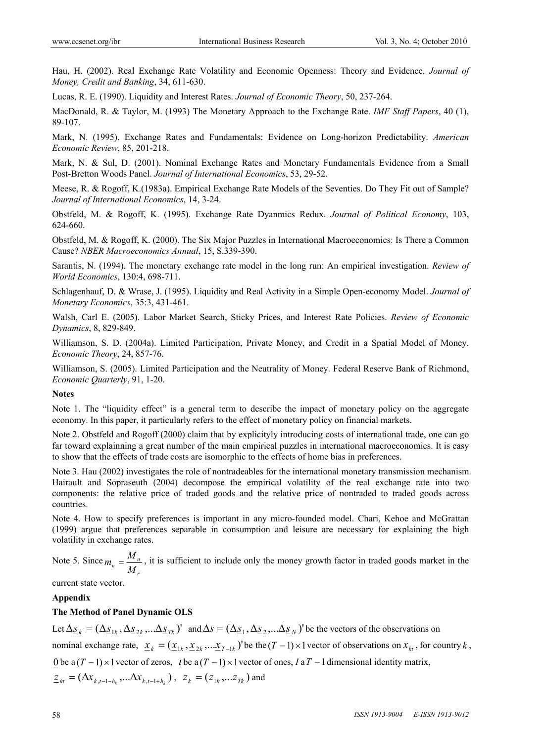Hau, H. (2002). Real Exchange Rate Volatility and Economic Openness: Theory and Evidence. *Journal of Money, Credit and Banking*, 34, 611-630.

Lucas, R. E. (1990). Liquidity and Interest Rates. *Journal of Economic Theory*, 50, 237-264.

MacDonald, R. & Taylor, M. (1993) The Monetary Approach to the Exchange Rate. *IMF Staff Papers*, 40 (1), 89-107.

Mark, N. (1995). Exchange Rates and Fundamentals: Evidence on Long-horizon Predictability. *American Economic Review*, 85, 201-218.

Mark, N. & Sul, D. (2001). Nominal Exchange Rates and Monetary Fundamentals Evidence from a Small Post-Bretton Woods Panel. *Journal of International Economics*, 53, 29-52.

Meese, R. & Rogoff, K.(1983a). Empirical Exchange Rate Models of the Seventies. Do They Fit out of Sample? *Journal of International Economics*, 14, 3-24.

Obstfeld, M. & Rogoff, K. (1995). Exchange Rate Dyanmics Redux. *Journal of Political Economy*, 103, 624-660.

Obstfeld, M. & Rogoff, K. (2000). The Six Major Puzzles in International Macroeconomics: Is There a Common Cause? *NBER Macroeconomics Annual*, 15, S.339-390.

Sarantis, N. (1994). The monetary exchange rate model in the long run: An empirical investigation. *Review of World Economics*, 130:4, 698-711.

Schlagenhauf, D. & Wrase, J. (1995). Liquidity and Real Activity in a Simple Open-economy Model. *Journal of Monetary Economics*, 35:3, 431-461.

Walsh, Carl E. (2005). Labor Market Search, Sticky Prices, and Interest Rate Policies. *Review of Economic Dynamics*, 8, 829-849.

Williamson, S. D. (2004a). Limited Participation, Private Money, and Credit in a Spatial Model of Money. *Economic Theory*, 24, 857-76.

Williamson, S. (2005). Limited Participation and the Neutrality of Money. Federal Reserve Bank of Richmond, *Economic Quarterly*, 91, 1-20.

### **Notes**

Note 1. The "liquidity effect" is a general term to describe the impact of monetary policy on the aggregate economy. In this paper, it particularly refers to the effect of monetary policy on financial markets.

Note 2. Obstfeld and Rogoff (2000) claim that by explicityly introducing costs of international trade, one can go far toward explainning a great number of the main empirical puzzles in international macroeconomics. It is easy to show that the effects of trade costs are isomorphic to the effects of home bias in preferences.

Note 3. Hau (2002) investigates the role of nontradeables for the international monetary transmission mechanism. Hairault and Sopraseuth (2004) decompose the empirical volatility of the real exchange rate into two components: the relative price of traded goods and the relative price of nontraded to traded goods across countries.

Note 4. How to specify preferences is important in any micro-founded model. Chari, Kehoe and McGrattan (1999) argue that preferences separable in consumption and leisure are necessary for explaining the high volatility in exchange rates.

Note 5. Since *r*  $n = \frac{M_n}{M_r}$  $m_n = \frac{M_n}{M}$ , it is sufficient to include only the money growth factor in traded goods market in the

current state vector.

# **Appendix**

# **The Method of Panel Dynamic OLS**

Let  $\Delta s_k = (\Delta s_{1k}, \Delta s_{2k}, ... \Delta s_{nk})'$  and  $\Delta s = (\Delta s_{1}, \Delta s_{2}, ... \Delta s_{n})'$  be the vectors of the observations on nominal exchange rate,  $\underline{x}_k = (\underline{x}_{1k}, \underline{x}_{2k}, \dots, \underline{x}_{T-1k})$  be the  $(T-1) \times 1$  vector of observations on  $x_{kt}$ , for country *k*, 0 be a  $(T-1) \times 1$  vector of zeros, *L* be a  $(T-1) \times 1$  vector of ones, *I* a  $T-1$  dimensional identity matrix,  $Z_{kt} = (\Delta x_{k,t-1-h} \ldots \Delta x_{k,t-1+h} )$ ,  $Z_{k} = (Z_{1k}, \ldots Z_{Tk})$  and